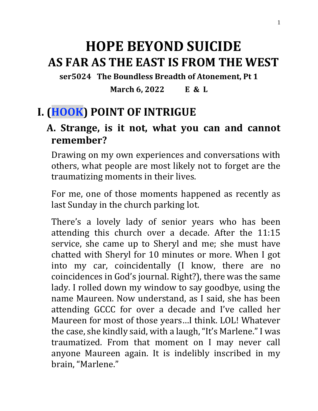# **HOPE BEYOND SUICIDE AS FAR AS THE EAST IS FROM THE WEST**

**ser5024 The Boundless Breadth of Atonement, Pt 1**

**March 6, 2022 E & L**

# **I. (HOOK) POINT OF INTRIGUE**

#### **A. Strange, is it not, what you can and cannot remember?**

Drawing on my own experiences and conversations with others, what people are most likely not to forget are the traumatizing moments in their lives.

For me, one of those moments happened as recently as last Sunday in the church parking lot.

There's a lovely lady of senior years who has been attending this church over a decade. After the 11:15 service, she came up to Sheryl and me; she must have chatted with Sheryl for 10 minutes or more. When I got into my car, coincidentally (I know, there are no coincidences in God's journal. Right?), there was the same lady. I rolled down my window to say goodbye, using the name Maureen. Now understand, as I said, she has been attending GCCC for over a decade and I've called her Maureen for most of those years…I think. LOL! Whatever the case, she kindly said, with a laugh, "It's Marlene." I was traumatized. From that moment on I may never call anyone Maureen again. It is indelibly inscribed in my brain, "Marlene."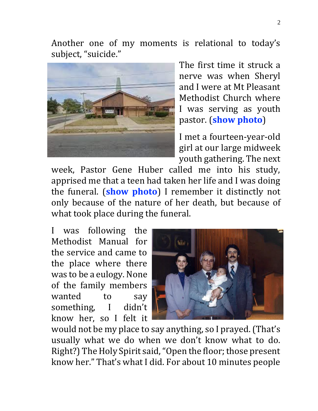Another one of my moments is relational to today's subject, "suicide."



The first time it struck a nerve was when Sheryl and I were at Mt Pleasant Methodist Church where I was serving as youth pastor. (**show photo**)

I met a fourteen-year-old girl at our large midweek youth gathering. The next

week, Pastor Gene Huber called me into his study, apprised me that a teen had taken her life and I was doing the funeral. (**show photo**) I remember it distinctly not only because of the nature of her death, but because of what took place during the funeral.

I was following the Methodist Manual for the service and came to the place where there was to be a eulogy. None of the family members wanted to say something, I didn't know her, so I felt it



would not be my place to say anything, so I prayed. (That's usually what we do when we don't know what to do. Right?) The Holy Spirit said, "Open the floor; those present know her." That's what I did. For about 10 minutes people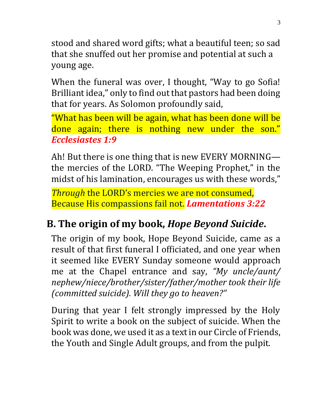stood and shared word gifts; what a beautiful teen; so sad that she snuffed out her promise and potential at such a young age.

When the funeral was over, I thought, "Way to go Sofia! Brilliant idea," only to find out that pastors had been doing that for years. As Solomon profoundly said,

"What has been will be again, what has been done will be done again; there is nothing new under the son." *Ecclesiastes 1:9*

Ah! But there is one thing that is new EVERY MORNING the mercies of the LORD. "The Weeping Prophet," in the midst of his lamination, encourages us with these words,"

*Through* the LORD's mercies we are not consumed, Because His compassions fail not. *Lamentations 3:22*

# **B. The origin of my book,** *Hope Beyond Suicide***.**

The origin of my book, Hope Beyond Suicide, came as a result of that first funeral I officiated, and one year when it seemed like EVERY Sunday someone would approach me at the Chapel entrance and say, *"My uncle/aunt/ nephew/niece/brother/sister/father/mother took their life (committed suicide). Will they go to heaven?"* 

During that year I felt strongly impressed by the Holy Spirit to write a book on the subject of suicide. When the book was done, we used it as a text in our Circle of Friends, the Youth and Single Adult groups, and from the pulpit.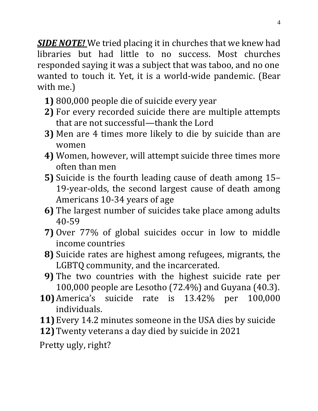*SIDE NOTE!* We tried placing it in churches that we knew had libraries but had little to no success. Most churches responded saying it was a subject that was taboo, and no one wanted to touch it. Yet, it is a world-wide pandemic. (Bear with me.)

- **1)** 800,000 people die of suicide every year
- **2)** For every recorded suicide there are multiple attempts that are not successful—thank the Lord
- **3)** Men are 4 times more likely to die by suicide than are women
- **4)** Women, however, will attempt suicide three times more often than men
- **5)** Suicide is the fourth leading cause of death among 15– 19-year-olds, the second largest cause of death among Americans 10-34 years of age
- **6)** The largest number of suicides take place among adults 40-59
- **7)** Over 77% of global suicides occur in low to middle income countries
- **8)** Suicide rates are highest among refugees, migrants, the LGBTQ community, and the incarcerated.
- **9)** The two countries with the highest suicide rate per 100,000 people are Lesotho (72.4%) and Guyana (40.3).
- **10)**America's suicide rate is 13.42% per 100,000 individuals.
- **11)** Every 14.2 minutes someone in the USA dies by suicide
- **12)** Twenty veterans a day died by suicide in 2021

Pretty ugly, right?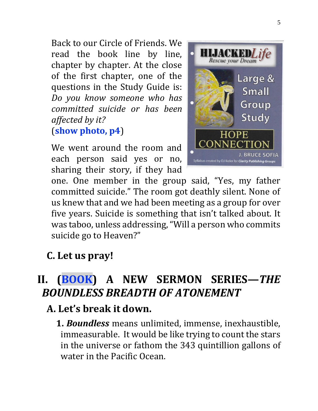Back to our Circle of Friends. We read the book line by line, chapter by chapter. At the close of the first chapter, one of the questions in the Study Guide is: *Do you know someone who has committed suicide or has been affected by it?* (**show photo, p4**)

We went around the room and each person said yes or no, sharing their story, if they had



one. One member in the group said, "Yes, my father committed suicide." The room got deathly silent. None of us knew that and we had been meeting as a group for over five years. Suicide is something that isn't talked about. It was taboo, unless addressing, "Will a person who commits suicide go to Heaven?"

## **C. Let us pray!**

# II. (BOOK) A NEW SERMON SERIES—*THE BOUNDLESS BREADTH OF ATONEMENT*

- **A. Let's break it down.** 
	- **1.** *Boundless* means unlimited, immense, inexhaustible, immeasurable. It would be like trying to count the stars in the universe or fathom the 343 quintillion gallons of water in the Pacific Ocean.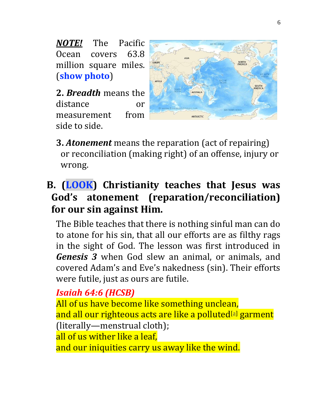*NOTE!* The Pacific Ocean covers 63.8 million square miles. (**show photo**)

**2.** *Breadth* means the distance or measurement from side to side.



**3.** *Atonement* means the reparation (act of repairing) or reconciliation (making right) of an offense, injury or wrong.

# **B. (LOOK) Christianity teaches that Jesus was God's atonement (reparation/reconciliation) for our sin against Him.**

The Bible teaches that there is nothing sinful man can do to atone for his sin, that all our efforts are as filthy rags in the sight of God. The lesson was first introduced in *Genesis 3* when God slew an animal, or animals, and covered Adam's and Eve's nakedness (sin). Their efforts were futile, just as ours are futile.

## *Isaiah 64:6 (HCSB)*

All of us have become like something unclean, and all our righteous acts are like a polluted[\[a\]](https://www.biblegateway.com/passage/?search=Isaiah%2064%3A6&version=HCSB#fen-HCSB-18892a) garment (literally—menstrual cloth); all of us wither like a leaf, and our iniquities carry us away like the wind.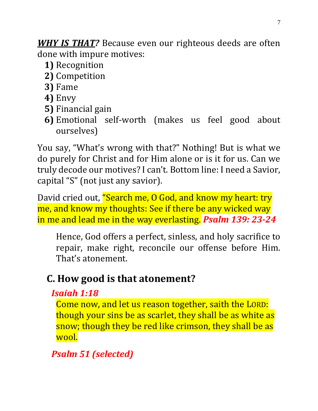*WHY IS THAT?* Because even our righteous deeds are often done with impure motives:

- **1)** Recognition
- **2)** Competition
- **3)** Fame
- **4)** Envy
- **5)** Financial gain
- **6)** Emotional self-worth (makes us feel good about ourselves)

You say, "What's wrong with that?" Nothing! But is what we do purely for Christ and for Him alone or is it for us. Can we truly decode our motives? I can't. Bottom line: I need a Savior, capital "S" (not just any savior).

David cried out, "Search me, O God, and know my heart: try me, and know my thoughts: See if there be any wicked way in me and lead me in the way everlasting. *Psalm 139: 23-24*

Hence, God offers a perfect, sinless, and holy sacrifice to repair, make right, reconcile our offense before Him. That's atonement.

# **C. How good is that atonement?**

#### *[Isaiah 1:18](https://www.biblegateway.com/passage/?search=Isaiah%201%3A18&version=KJV)*

Come now, and let us reason together, saith the LORD: though your sins be as scarlet, they shall be as white as snow; though they be red like crimson, they shall be as wool.

*Psalm 51 (selected)*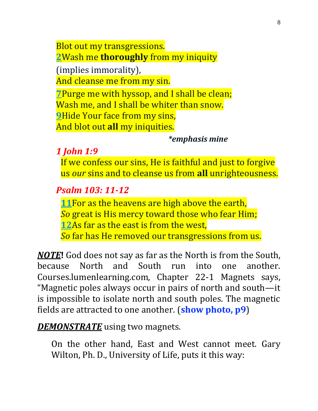Blot out my transgressions. **[2](http://biblehub.com/psalms/51-2.htm)**Wash me **thoroughly** from my iniquity (implies immorality),

And cleanse me from my sin.

**[7](http://biblehub.com/psalms/51-7.htm)**Purge me with hyssop, and I shall be clean; Wash me, and I shall be whiter than snow. **[9](http://biblehub.com/psalms/51-9.htm)**Hide Your face from my sins, And blot out **all** my iniquities.

#### *\*emphasis mine*

*1 John 1:9*

If we confess our sins, He is faithful and just to forgive us *our* sins and to cleanse us from **all** unrighteousness.

#### *Psalm 103: 11-12*

**[11](http://biblehub.com/psalms/103-11.htm)**For as the heavens are high above the earth,

*So* great is His mercy toward those who fear Him;

**[12](http://biblehub.com/psalms/103-12.htm)**As far as the east is from the west,

*So* far has He removed our transgressions from us.

*NOTE***!** God does not say as far as the North is from the South, because North and South run into one another. Courses.lumenlearning.com, Chapter 22-1 Magnets says, "Magnetic poles always occur in pairs of north and south—it is impossible to isolate north and south poles. The magnetic fields are attracted to one another. (**show photo, p9**)

*DEMONSTRATE* using two magnets.

On the other hand, East and West cannot meet. Gary Wilton, Ph. D., University of Life, puts it this way: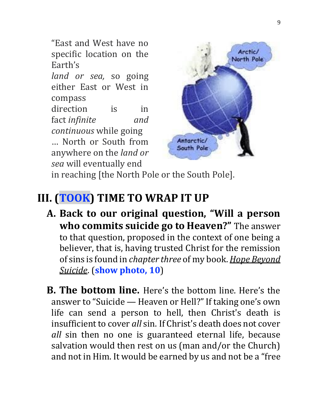"East and West have no specific location on the Earth's

*land or sea,* so going either East or West in compass direction is in fact *infinite and continuous* while going … North or South from

anywhere on the *land or sea* will eventually end



in reaching [the North Pole or the South Pole].

# **III. (TOOK) TIME TO WRAP IT UP**

- **A. Back to our original question, "Will a person who commits suicide go to Heaven?"** The answer to that question, proposed in the context of one being a believer, that is, having trusted Christ for the remission of sins is found in *chapter three* of my book. *Hope Beyond Suicide*. (**show photo, 10**)
- **B. The bottom line.** Here's the bottom line. Here's the answer to "Suicide — Heaven or Hell?" If taking one's own life can send a person to hell, then Christ's death is insufficient to cover *all* sin. If Christ's death does not cover *all* sin then no one is guaranteed eternal life, because salvation would then rest on us (man and/or the Church) and not in Him. It would be earned by us and not be a "free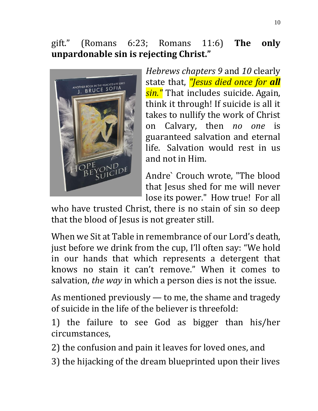#### gift." (Romans 6:23; Romans 11:6) **The only unpardonable sin is rejecting Christ."**



*Hebrews chapters 9* and *10* clearly state that, *"Jesus died once for all sin."* That includes suicide. Again, think it through! If suicide is all it takes to nullify the work of Christ on Calvary, then *no one* is guaranteed salvation and eternal life. Salvation would rest in us and not in Him.

Andre` Crouch wrote, "The blood that Jesus shed for me will never lose its power." How true! For all

who have trusted Christ, there is no stain of sin so deep that the blood of Jesus is not greater still.

When we Sit at Table in remembrance of our Lord's death, just before we drink from the cup, I'll often say: "We hold in our hands that which represents a detergent that knows no stain it can't remove." When it comes to salvation, *the way* in which a person dies is not the issue.

As mentioned previously — to me, the shame and tragedy of suicide in the life of the believer is threefold:

1) the failure to see God as bigger than his/her circumstances,

2) the confusion and pain it leaves for loved ones, and

3) the hijacking of the dream blueprinted upon their lives